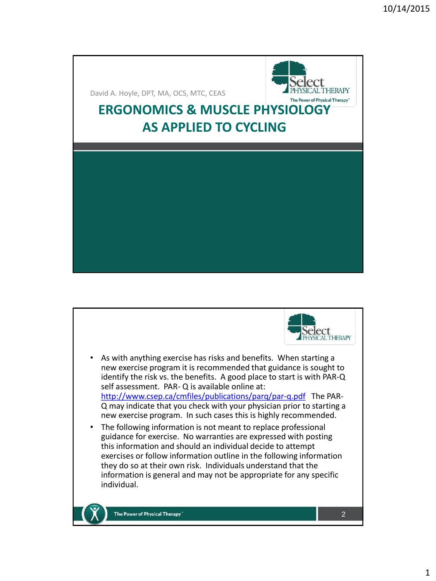David A. Hoyle, DPT, MA, OCS, MTC, CEAS

# **ERGONOMICS & MUSCLE PHYSIOLOGY AS APPLIED TO CYCLING**



**THERAPY** 

- As with anything exercise has risks and benefits. When starting a new exercise program it is recommended that guidance is sought to identify the risk vs. the benefits. A good place to start is with PAR-Q self assessment. PAR- Q is available online at: <http://www.csep.ca/cmfiles/publications/parq/par-q.pdf> The PAR-Q may indicate that you check with your physician prior to starting a new exercise program. In such cases this is highly recommended.
- The following information is not meant to replace professional guidance for exercise. No warranties are expressed with posting this information and should an individual decide to attempt exercises or follow information outline in the following information they do so at their own risk. Individuals understand that the information is general and may not be appropriate for any specific individual.



The Power of Physical Therapy

2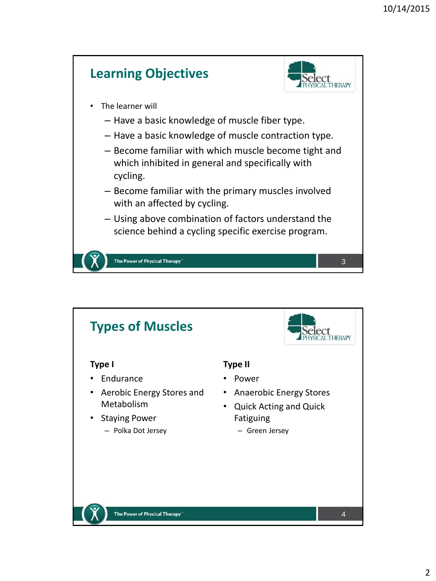

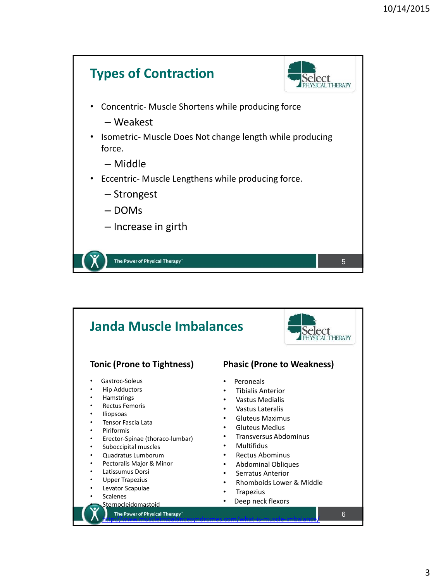

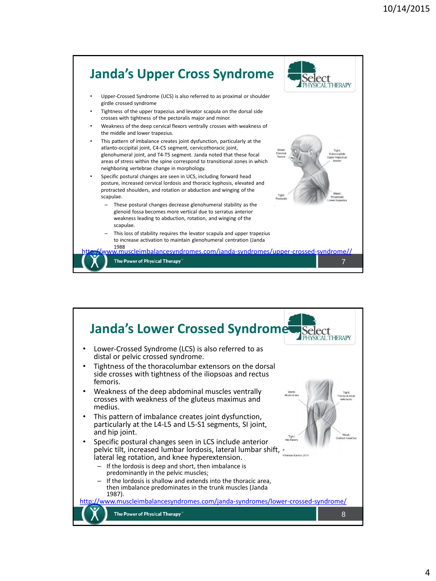

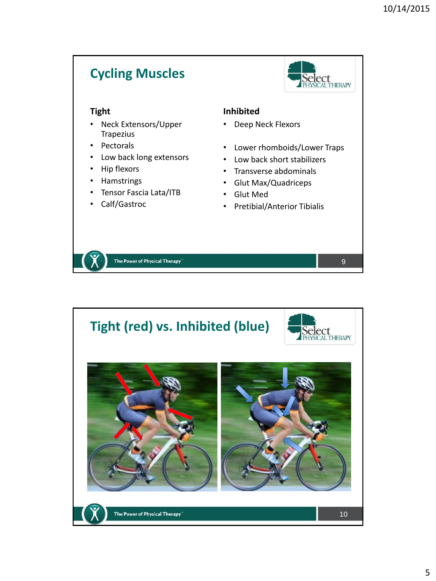# **Cycling Muscles**



9

## **Tight**

- Neck Extensors/Upper **Trapezius**
- Pectorals
- Low back long extensors
- Hip flexors
- Hamstrings
- Tensor Fascia Lata/ITB
- Calf/Gastroc

### **Inhibited**

- Deep Neck Flexors
- Lower rhomboids/Lower Traps
- Low back short stabilizers
- Transverse abdominals
- Glut Max/Quadriceps
- Glut Med
- Pretibial/Anterior Tibialis

The Power of Physical Therapy

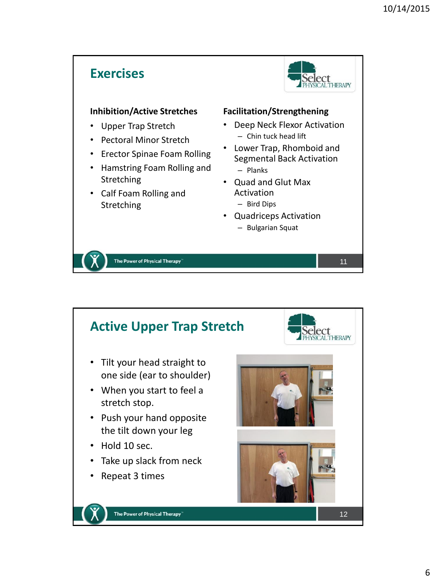#### **Exercises HERAPY Facilitation/Strengthening Inhibition/Active Stretches** • Deep Neck Flexor Activation • Upper Trap Stretch – Chin tuck head lift • Pectoral Minor Stretch • Lower Trap, Rhomboid and • Erector Spinae Foam Rolling Segmental Back Activation • Hamstring Foam Rolling and – Planks Stretching • Quad and Glut Max • Calf Foam Rolling and Activation Stretching – Bird Dips • Quadriceps Activation – Bulgarian Squat The Power of Physical Therapy 11

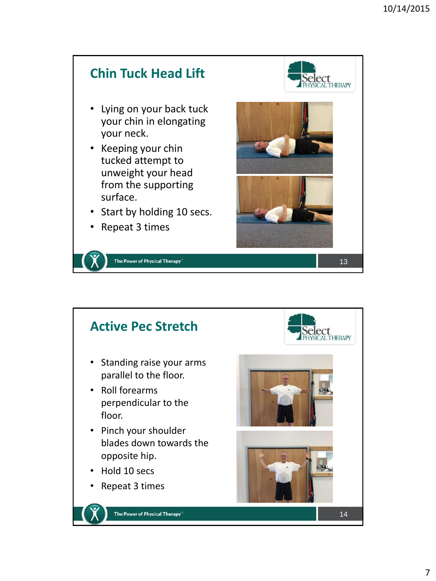

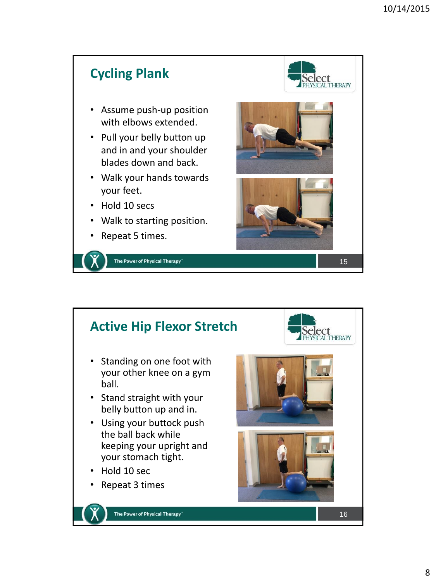



- Standing on one foot with your other knee on a gym ball.
- Stand straight with your belly button up and in.
- Using your buttock push the ball back while keeping your upright and your stomach tight.
- Hold 10 sec
- Repeat 3 times



The Power of Physical Therapy





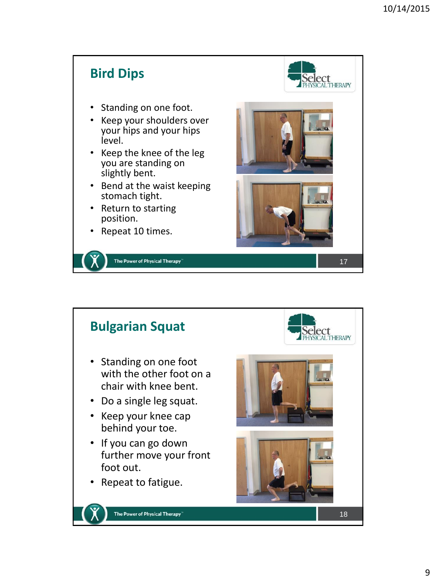